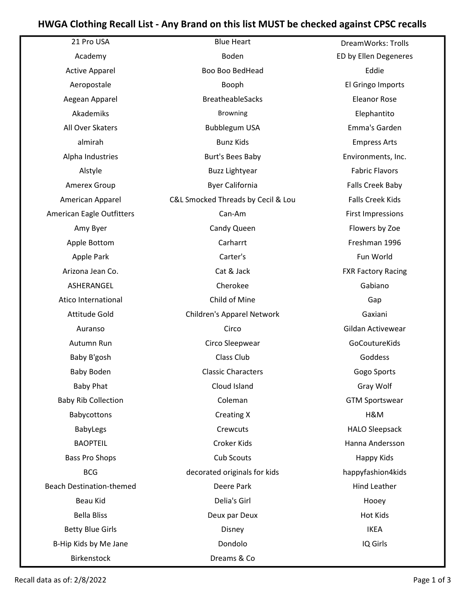## HWGA Clothing Recall List - Any Brand on this list MUST be checked against CPSC recalls

| 21 Pro USA                      | <b>Blue Heart</b>                  | DreamWorks: Trolls        |
|---------------------------------|------------------------------------|---------------------------|
| Academy                         | Boden                              | ED by Ellen Degeneres     |
| <b>Active Apparel</b>           | Boo Boo BedHead                    | Eddie                     |
| Aeropostale                     | Booph                              | El Gringo Imports         |
| Aegean Apparel                  | <b>BreatheableSacks</b>            | <b>Eleanor Rose</b>       |
| Akademiks                       | <b>Browning</b>                    | Elephantito               |
| All Over Skaters                | <b>Bubblegum USA</b>               | Emma's Garden             |
| almirah                         | <b>Bunz Kids</b>                   | <b>Empress Arts</b>       |
| Alpha Industries                | <b>Burt's Bees Baby</b>            | Environments, Inc.        |
| Alstyle                         | <b>Buzz Lightyear</b>              | <b>Fabric Flavors</b>     |
| Amerex Group                    | <b>Byer California</b>             | Falls Creek Baby          |
| American Apparel                | C&L Smocked Threads by Cecil & Lou | <b>Falls Creek Kids</b>   |
| American Eagle Outfitters       | Can-Am                             | <b>First Impressions</b>  |
| Amy Byer                        | Candy Queen                        | Flowers by Zoe            |
| Apple Bottom                    | Carharrt                           | Freshman 1996             |
| Apple Park                      | Carter's                           | Fun World                 |
| Arizona Jean Co.                | Cat & Jack                         | <b>FXR Factory Racing</b> |
| ASHERANGEL                      | Cherokee                           | Gabiano                   |
| Atico International             | Child of Mine                      | Gap                       |
| <b>Attitude Gold</b>            | Children's Apparel Network         | Gaxiani                   |
| Auranso                         | Circo                              | Gildan Activewear         |
| Autumn Run                      | Circo Sleepwear                    | GoCoutureKids             |
| Baby B'gosh                     | Class Club                         | Goddess                   |
| <b>Baby Boden</b>               | <b>Classic Characters</b>          | Gogo Sports               |
| <b>Baby Phat</b>                | Cloud Island                       | Gray Wolf                 |
| <b>Baby Rib Collection</b>      | Coleman                            | <b>GTM Sportswear</b>     |
| Babycottons                     | <b>Creating X</b>                  | H&M                       |
| <b>BabyLegs</b>                 | Crewcuts                           | <b>HALO Sleepsack</b>     |
| <b>BAOPTEIL</b>                 | Croker Kids                        | Hanna Andersson           |
| <b>Bass Pro Shops</b>           | Cub Scouts                         | Happy Kids                |
| <b>BCG</b>                      | decorated originals for kids       | happyfashion4kids         |
| <b>Beach Destination-themed</b> | Deere Park                         | <b>Hind Leather</b>       |
| Beau Kid                        | Delia's Girl                       | Hooey                     |
| <b>Bella Bliss</b>              | Deux par Deux                      | <b>Hot Kids</b>           |
| <b>Betty Blue Girls</b>         | Disney                             | <b>IKEA</b>               |
| B-Hip Kids by Me Jane           | Dondolo                            | IQ Girls                  |
| Birkenstock                     | Dreams & Co                        |                           |

Recall data as of: 2/8/2022 Page 1 of 3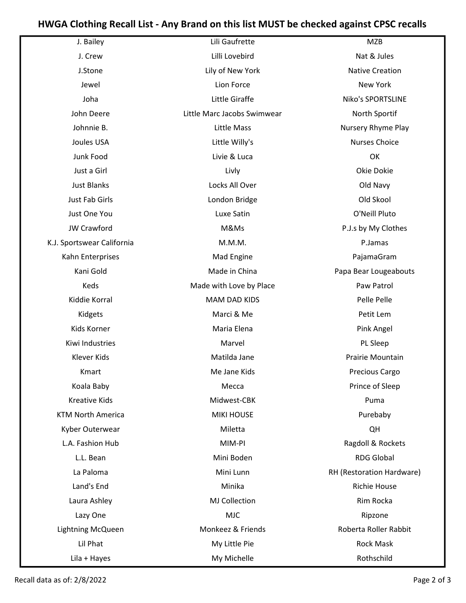## HWGA Clothing Recall List - Any Brand on this list MUST be checked against CPSC recalls

| J. Bailey                  | Lili Gaufrette              | <b>MZB</b>                |
|----------------------------|-----------------------------|---------------------------|
| J. Crew                    | Lilli Lovebird              | Nat & Jules               |
| J.Stone                    | Lily of New York            | <b>Native Creation</b>    |
| Jewel                      | Lion Force                  | New York                  |
| Joha                       | Little Giraffe              | Niko's SPORTSLINE         |
| John Deere                 | Little Marc Jacobs Swimwear | North Sportif             |
| Johnnie B.                 | Little Mass                 | Nursery Rhyme Play        |
| Joules USA                 | Little Willy's              | Nurses Choice             |
| Junk Food                  | Livie & Luca                | OK                        |
| Just a Girl                | Livly                       | Okie Dokie                |
| <b>Just Blanks</b>         | Locks All Over              | Old Navy                  |
| <b>Just Fab Girls</b>      | London Bridge               | Old Skool                 |
| Just One You               | Luxe Satin                  | O'Neill Pluto             |
| <b>JW Crawford</b>         | M&Ms                        | P.J.s by My Clothes       |
| K.J. Sportswear California | M.M.M.                      | P.Jamas                   |
| Kahn Enterprises           | Mad Engine                  | PajamaGram                |
| Kani Gold                  | Made in China               | Papa Bear Lougeabouts     |
| Keds                       | Made with Love by Place     | Paw Patrol                |
| Kiddie Korral              | <b>MAM DAD KIDS</b>         | Pelle Pelle               |
| Kidgets                    | Marci & Me                  | Petit Lem                 |
| Kids Korner                | Maria Elena                 | Pink Angel                |
| Kiwi Industries            | Marvel                      | PL Sleep                  |
| Klever Kids                | Matilda Jane                | Prairie Mountain          |
| Kmart                      | Me Jane Kids                | <b>Precious Cargo</b>     |
| Koala Baby                 | Mecca                       | Prince of Sleep           |
| <b>Kreative Kids</b>       | Midwest-CBK                 | Puma                      |
| <b>KTM North America</b>   | <b>MIKI HOUSE</b>           | Purebaby                  |
| Kyber Outerwear            | Miletta                     | QH                        |
| L.A. Fashion Hub           | MIM-PI                      | Ragdoll & Rockets         |
| L.L. Bean                  | Mini Boden                  | <b>RDG Global</b>         |
| La Paloma                  | Mini Lunn                   | RH (Restoration Hardware) |
| Land's End                 | Minika                      | <b>Richie House</b>       |
| Laura Ashley               | MJ Collection               | Rim Rocka                 |
| Lazy One                   | <b>MJC</b>                  | Ripzone                   |
| Lightning McQueen          | Monkeez & Friends           | Roberta Roller Rabbit     |
| Lil Phat                   | My Little Pie               | <b>Rock Mask</b>          |
| Lila + Hayes               | My Michelle                 | Rothschild                |